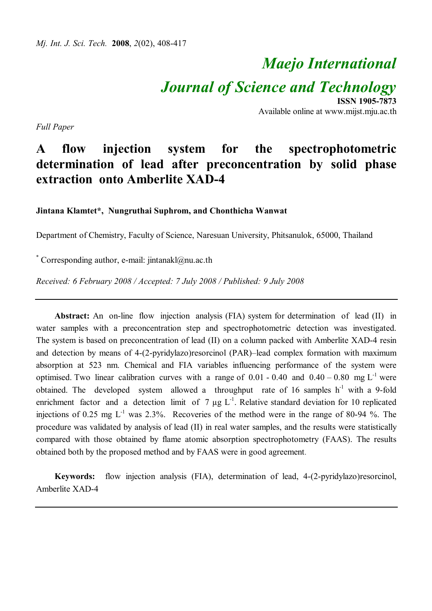# *Maejo International*

*Journal of Science and Technology*

**ISSN 1905-7873** Available online at www.mijst.mju.ac.th

*Full Paper*

# **A flow injection system for the spectrophotometric determination of lead after preconcentration by solid phase extraction onto Amberlite XAD-4**

# **Jintana Klamtet\*, Nungruthai Suphrom, and Chonthicha Wanwat**

Department of Chemistry, Faculty of Science, Naresuan University, Phitsanulok, 65000, Thailand

\* Corresponding author, e-mail: jintanakl@nu.ac.th

*Received: 6 February 2008 / Accepted: 7 July 2008 / Published: 9 July 2008*

**Abstract:** An on-line flow injection analysis (FIA) system for determination of lead (II) in water samples with a preconcentration step and spectrophotometric detection was investigated. The system is based on preconcentration of lead (II) on a column packed with Amberlite XAD-4 resin and detection by means of 4-(2-pyridylazo)resorcinol (PAR)–lead complex formation with maximum absorption at 523 nm. Chemical and FIA variables influencing performance of the system were optimised. Two linear calibration curves with a range of  $0.01 - 0.40$  and  $0.40 - 0.80$  mg L<sup>-1</sup> were obtained. The developed system allowed a throughput rate of 16 samples  $h^{-1}$  with a 9-fold enrichment factor and a detection limit of 7  $\mu$ g L<sup>-1</sup>. Relative standard deviation for 10 replicated injections of 0.25 mg  $L^{-1}$  was 2.3%. Recoveries of the method were in the range of 80-94 %. The procedure was validated by analysis of lead (II) in real water samples, and the results were statistically compared with those obtained by flame atomic absorption spectrophotometry (FAAS). The results obtained both by the proposed method and by FAAS were in good agreement.

**Keywords:** flow injection analysis (FIA), determination of lead, 4-(2-pyridylazo)resorcinol, Amberlite XAD-4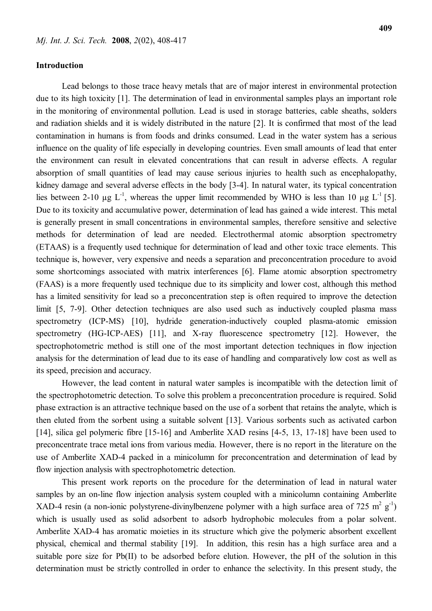#### **Introduction**

Lead belongs to those trace heavy metals that are of major interest in environmental protection due to its high toxicity [1]. The determination of lead in environmental samples plays an important role in the monitoring of environmental pollution. Lead is used in storage batteries, cable sheaths, solders and radiation shields and it is widely distributed in the nature [2]. It is confirmed that most of the lead contamination in humans is from foods and drinks consumed. Lead in the water system has a serious influence on the quality of life especially in developing countries. Even small amounts of lead that enter the environment can result in elevated concentrations that can result in adverse effects. A regular absorption of small quantities of lead may cause serious injuries to health such as encephalopathy, kidney damage and several adverse effects in the body [3-4]. In natural water, its typical concentration lies between 2-10  $\mu$ g L<sup>-1</sup>, whereas the upper limit recommended by WHO is less than 10  $\mu$ g L<sup>-1</sup> [5]. Due to its toxicity and accumulative power, determination of lead has gained a wide interest. This metal is generally present in small concentrations in environmental samples, therefore sensitive and selective methods for determination of lead are needed. Electrothermal atomic absorption spectrometry (ETAAS) is a frequently used technique for determination of lead and other toxic trace elements. This technique is, however, very expensive and needs a separation and preconcentration procedure to avoid some shortcomings associated with matrix interferences [6]. Flame atomic absorption spectrometry (FAAS) is a more frequently used technique due to its simplicity and lower cost, although this method has a limited sensitivity for lead so a preconcentration step is often required to improve the detection limit [5, 7-9]. Other detection techniques are also used such as inductively coupled plasma mass spectrometry (ICP-MS) [10], hydride generation-inductively coupled plasma-atomic emission spectrometry (HG-ICP-AES) [11], and X-ray fluorescence spectrometry [12]. However, the spectrophotometric method is still one of the most important detection techniques in flow injection analysis for the determination of lead due to its ease of handling and comparatively low cost as well as its speed, precision and accuracy.

However, the lead content in natural water samples is incompatible with the detection limit of the spectrophotometric detection. To solve this problem a preconcentration procedure is required. Solid phase extraction is an attractive technique based on the use of a sorbent that retains the analyte, which is then eluted from the sorbent using a suitable solvent [13]. Various sorbents such as activated carbon [14], silica gel polymeric fibre [15-16] and Amberlite XAD resins [4-5, 13, 17-18] have been used to preconcentrate trace metal ions from various media. However, there is no report in the literature on the use of Amberlite XAD-4 packed in a minicolumn for preconcentration and determination of lead by flow injection analysis with spectrophotometric detection.

This present work reports on the procedure for the determination of lead in natural water samples by an on-line flow injection analysis system coupled with a minicolumn containing Amberlite XAD-4 resin (a non-ionic polystyrene-divinylbenzene polymer with a high surface area of 725 m<sup>2</sup> g<sup>-1</sup>) which is usually used as solid adsorbent to adsorb hydrophobic molecules from a polar solvent. Amberlite XAD-4 has aromatic moieties in its structure which give the polymeric absorbent excellent physical, chemical and thermal stability [19]. In addition, this resin has a high surface area and a suitable pore size for Pb(II) to be adsorbed before elution. However, the pH of the solution in this determination must be strictly controlled in order to enhance the selectivity. In this present study, the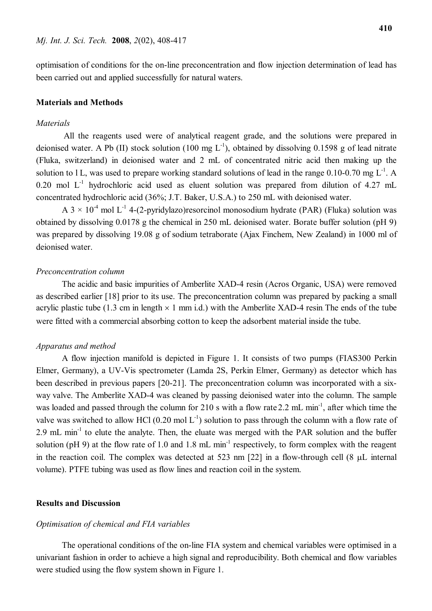optimisation of conditions for the on-line preconcentration and flow injection determination of lead has been carried out and applied successfully for natural waters.

#### **Materials and Methods**

# *Materials*

All the reagents used were of analytical reagent grade, and the solutions were prepared in deionised water. A Pb (II) stock solution (100 mg  $L^{-1}$ ), obtained by dissolving 0.1598 g of lead nitrate (Fluka, switzerland) in deionised water and 2 mL of concentrated nitric acid then making up the solution to 1L, was used to prepare working standard solutions of lead in the range 0.10-0.70 mg  $L^{-1}$ . A 0.20 mol  $L^{-1}$  hydrochloric acid used as eluent solution was prepared from dilution of 4.27 mL concentrated hydrochloric acid (36%; J.T. Baker, U.S.A.) to 250 mL with deionised water.

A 3  $\times$  10<sup>-4</sup> mol L<sup>-1</sup> 4-(2-pyridylazo)resorcinol monosodium hydrate (PAR) (Fluka) solution was obtained by dissolving 0.0178 g the chemical in 250 mL deionised water. Borate buffer solution (pH 9) was prepared by dissolving 19.08 g of sodium tetraborate (Ajax Finchem, New Zealand) in 1000 ml of deionised water.

#### *Preconcentration column*

The acidic and basic impurities of Amberlite XAD-4 resin (Acros Organic, USA) were removed as described earlier [18] prior to its use. The preconcentration column was prepared by packing a small acrylic plastic tube (1.3 cm in length  $\times$  1 mm i.d.) with the Amberlite XAD-4 resin. The ends of the tube were fitted with a commercial absorbing cotton to keep the adsorbent material inside the tube.

#### *Apparatus and method*

A flow injection manifold is depicted in Figure 1. It consists of two pumps (FIAS300 Perkin Elmer, Germany), a UV-Vis spectrometer (Lamda 2S, Perkin Elmer, Germany) as detector which has been described in previous papers [20-21]. The preconcentration column was incorporated with a sixway valve. The Amberlite XAD-4 was cleaned by passing deionised water into the column. The sample was loaded and passed through the column for 210 s with a flow rate 2.2 mL min<sup>-1</sup>, after which time the valve was switched to allow HCl  $(0.20 \text{ mol L}^{-1})$  solution to pass through the column with a flow rate of 2.9 mL min<sup>-1</sup> to elute the analyte. Then, the eluate was merged with the PAR solution and the buffer solution ( $pH$  9) at the flow rate of 1.0 and 1.8 mL min<sup>-1</sup> respectively, to form complex with the reagent in the reaction coil. The complex was detected at 523 nm  $[22]$  in a flow-through cell  $(8 \mu L)$  internal volume). PTFE tubing was used as flow lines and reaction coil in the system.

#### **Results and Discussion**

# *Optimisation of chemical and FIA variables*

The operational conditions of the on-line FIA system and chemical variables were optimised in a univariant fashion in order to achieve a high signal and reproducibility. Both chemical and flow variables were studied using the flow system shown in Figure 1.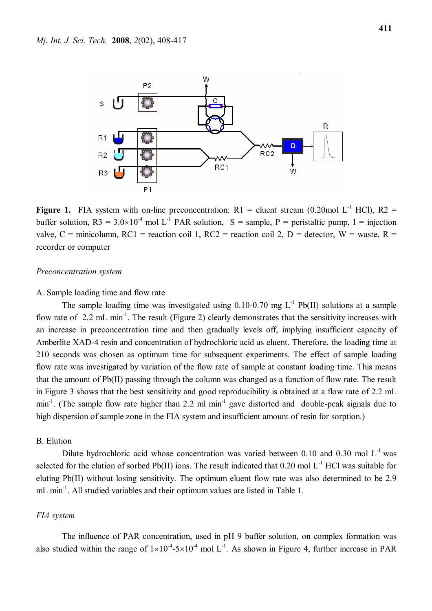

**Figure 1.** FIA system with on-line preconcentration:  $R1$  = eluent stream (0.20mol L<sup>-1</sup> HCl),  $R2$  = buffer solution,  $R3 = 3.0 \times 10^{-4}$  mol L<sup>-1</sup> PAR solution, S = sample, P = peristaltic pump, I = injection valve, C = minicolumn, RC1 = reaction coil 1, RC2 = reaction coil 2, D = detector, W = waste, R = recorder or computer

#### *Preconcentration system*

#### A. Sample loading time and flow rate

The sample loading time was investigated using  $0.10$ -0.70 mg L<sup>-1</sup> Pb(II) solutions at a sample flow rate of 2.2 mL min<sup>-1</sup>. The result (Figure 2) clearly demonstrates that the sensitivity increases with an increase in preconcentration time and then gradually levels off, implying insufficient capacity of Amberlite XAD-4 resin and concentration of hydrochloric acid as eluent. Therefore, the loading time at 210 seconds was chosen as optimum time for subsequent experiments. The effect of sample loading flow rate was investigated by variation of the flow rate of sample at constant loading time. This means that the amount of Pb(II) passing through the column was changed as a function of flow rate. The result in Figure 3 shows that the best sensitivity and good reproducibility is obtained at a flow rate of 2.2 mL  $min^{-1}$ . (The sample flow rate higher than 2.2 ml  $min^{-1}$  gave distorted and double-peak signals due to high dispersion of sample zone in the FIA system and insufficient amount of resin for sorption.)

#### B. Elution

Dilute hydrochloric acid whose concentration was varied between 0.10 and 0.30 mol  $L^{-1}$  was selected for the elution of sorbed Pb(II) ions. The result indicated that  $0.20$  mol L<sup>-1</sup> HCl was suitable for eluting Pb(II) without losing sensitivity. The optimum eluent flow rate was also determined to be 2.9 mL min<sup>-1</sup>. All studied variables and their optimum values are listed in Table 1.

#### *FIA system*

The influence of PAR concentration, used in pH 9 buffer solution, on complex formation was also studied within the range of  $1\times10^{-4}$ -5 $\times10^{-4}$  mol L<sup>-1</sup>. As shown in Figure 4, further increase in PAR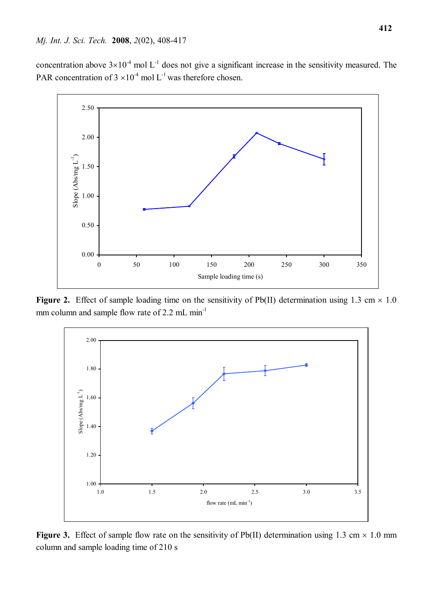concentration above  $3\times10^{-4}$  mol L<sup>-1</sup> does not give a significant increase in the sensitivity measured. The PAR concentration of  $3 \times 10^{-4}$  mol L<sup>-1</sup> was therefore chosen.



**Figure 2.** Effect of sample loading time on the sensitivity of Pb(II) determination using 1.3 cm  $\times$  1.0 mm column and sample flow rate of 2.2 mL min<sup>-1</sup>



**Figure 3.** Effect of sample flow rate on the sensitivity of Pb(II) determination using 1.3 cm  $\times$  1.0 mm column and sample loading time of 210 s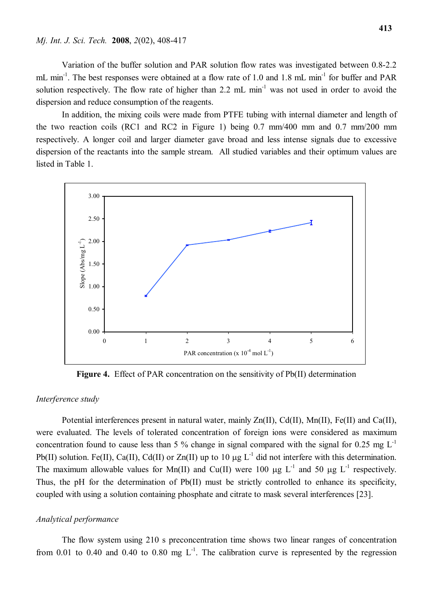Variation of the buffer solution and PAR solution flow rates was investigated between 0.8-2.2 mL min<sup>-1</sup>. The best responses were obtained at a flow rate of 1.0 and 1.8 mL min<sup>-1</sup> for buffer and PAR solution respectively. The flow rate of higher than 2.2 mL min<sup>-1</sup> was not used in order to avoid the dispersion and reduce consumption of the reagents.

In addition, the mixing coils were made from PTFE tubing with internal diameter and length of the two reaction coils (RC1 and RC2 in Figure 1) being 0.7 mm/400 mm and 0.7 mm/200 mm respectively. A longer coil and larger diameter gave broad and less intense signals due to excessive dispersion of the reactants into the sample stream. All studied variables and their optimum values are listed in Table 1.



**Figure 4.** Effect of PAR concentration on the sensitivity of Pb(II) determination

### *Interference study*

Potential interferences present in natural water, mainly Zn(II), Cd(II), Mn(II), Fe(II) and Ca(II), were evaluated. The levels of tolerated concentration of foreign ions were considered as maximum concentration found to cause less than 5 % change in signal compared with the signal for 0.25 mg  $L^{-1}$ Pb(II) solution. Fe(II), Ca(II), Cd(II) or Zn(II) up to 10  $\mu$ g L<sup>-1</sup> did not interfere with this determination. The maximum allowable values for Mn(II) and Cu(II) were 100  $\mu$ g L<sup>-1</sup> and 50  $\mu$ g L<sup>-1</sup> respectively. Thus, the pH for the determination of Pb(II) must be strictly controlled to enhance its specificity, coupled with using a solution containing phosphate and citrate to mask several interferences [23].

#### *Analytical performance*

The flow system using 210 s preconcentration time shows two linear ranges of concentration from 0.01 to 0.40 and 0.40 to 0.80 mg  $L^{-1}$ . The calibration curve is represented by the regression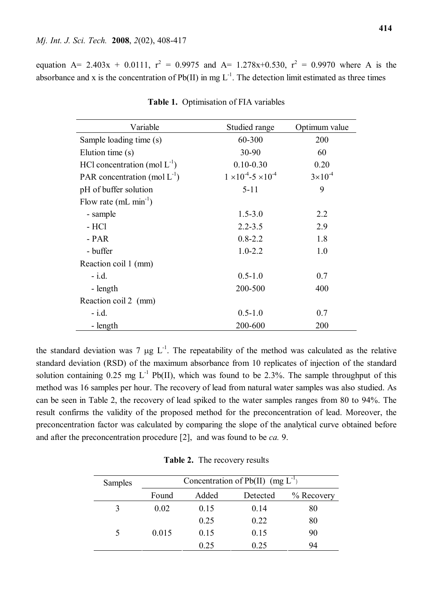equation A= 2.403x + 0.0111,  $r^2 = 0.9975$  and A= 1.278x+0.530,  $r^2 = 0.9970$  where A is the absorbance and x is the concentration of  $Pb(II)$  in mg  $L^{-1}$ . The detection limit estimated as three times

| Variable                          | Studied range                         | Optimum value      |
|-----------------------------------|---------------------------------------|--------------------|
| Sample loading time (s)           | 60-300                                | 200                |
| Elution time (s)                  | $30 - 90$                             | 60                 |
| HCl concentration (mol $L^{-1}$ ) | $0.10 - 0.30$                         | 0.20               |
| PAR concentration (mol $L^{-1}$ ) | $1 \times 10^{-4} - 5 \times 10^{-4}$ | $3 \times 10^{-4}$ |
| pH of buffer solution             | $5 - 11$                              | 9                  |
| Flow rate $(mL min-1)$            |                                       |                    |
| - sample                          | $1.5 - 3.0$                           | 2.2                |
| - HCl                             | $2.2 - 3.5$                           | 2.9                |
| $- PAR$                           | $0.8 - 2.2$                           | 1.8                |
| - buffer                          | $1.0 - 2.2$                           | 1.0                |
| Reaction coil 1 (mm)              |                                       |                    |
| $-$ i.d.                          | $0.5 - 1.0$                           | 0.7                |
| - length                          | 200-500                               | 400                |
| Reaction coil 2 (mm)              |                                       |                    |
| $-$ i.d.                          | $0.5 - 1.0$                           | 0.7                |
| - length                          | 200-600                               | 200                |

**Table 1.** Optimisation of FIA variables

the standard deviation was 7  $\mu$ g L<sup>-1</sup>. The repeatability of the method was calculated as the relative standard deviation (RSD) of the maximum absorbance from 10 replicates of injection of the standard solution containing 0.25 mg  $L^{-1}$  Pb(II), which was found to be 2.3%. The sample throughput of this method was 16 samples per hour. The recovery of lead from natural water samples was also studied. As can be seen in Table 2, the recovery of lead spiked to the water samples ranges from 80 to 94%. The result confirms the validity of the proposed method for the preconcentration of lead. Moreover, the preconcentration factor was calculated by comparing the slope of the analytical curve obtained before and after the preconcentration procedure [2], and was found to be *ca.* 9.

| <b>Table 2.</b> The recovery results |  |
|--------------------------------------|--|
|--------------------------------------|--|

| Samples | Concentration of Pb(II) $(mg L-1)$ |       |          |            |
|---------|------------------------------------|-------|----------|------------|
|         | Found                              | Added | Detected | % Recovery |
|         | 0.02                               | 0.15  | 0.14     | 80         |
|         |                                    | 0.25  | 0.22     | 80         |
|         | 0.015                              | 0.15  | 0.15     | 90         |
|         |                                    | 0.25  | 0.25     | 94         |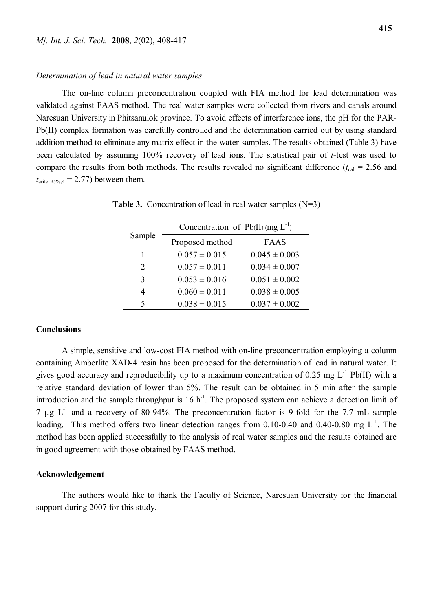#### *Determination of lead in natural water samples*

The on-line column preconcentration coupled with FIA method for lead determination was validated against FAAS method. The real water samples were collected from rivers and canals around Naresuan University in Phitsanulok province. To avoid effects of interference ions, the pH for the PAR-Pb(II) complex formation was carefully controlled and the determination carried out by using standard addition method to eliminate any matrix effect in the water samples. The results obtained (Table 3) have been calculated by assuming 100% recovery of lead ions. The statistical pair of *t*-test was used to compare the results from both methods. The results revealed no significant difference ( $t_{\text{cal}}$  = 2.56 and  $t_{\text{critc}}$   $_{95\%,4}$  = 2.77) between them.

|                             | Concentration of $Pb(II)$ (mg $L^{-1}$ ) |                   |  |
|-----------------------------|------------------------------------------|-------------------|--|
| Sample                      | Proposed method                          | FAAS              |  |
|                             | $0.057 \pm 0.015$                        | $0.045 \pm 0.003$ |  |
| $\mathcal{D}_{\mathcal{L}}$ | $0.057 \pm 0.011$                        | $0.034 \pm 0.007$ |  |
| 3                           | $0.053 \pm 0.016$                        | $0.051 \pm 0.002$ |  |
| 4                           | $0.060 \pm 0.011$                        | $0.038 \pm 0.005$ |  |
|                             | $0.038 \pm 0.015$                        | $0.037 \pm 0.002$ |  |

**Table 3.** Concentration of lead in real water samples (N=3)

## **Conclusions**

A simple, sensitive and low-cost FIA method with on-line preconcentration employing a column containing Amberlite XAD-4 resin has been proposed for the determination of lead in natural water. It gives good accuracy and reproducibility up to a maximum concentration of 0.25 mg  $L^{-1}$  Pb(II) with a relative standard deviation of lower than 5%. The result can be obtained in 5 min after the sample introduction and the sample throughput is  $16 h^{-1}$ . The proposed system can achieve a detection limit of 7  $\mu$ g L<sup>-1</sup> and a recovery of 80-94%. The preconcentration factor is 9-fold for the 7.7 mL sample loading. This method offers two linear detection ranges from 0.10-0.40 and 0.40-0.80 mg L<sup>-1</sup>. The method has been applied successfully to the analysis of real water samples and the results obtained are in good agreement with those obtained by FAAS method.

## **Acknowledgement**

The authors would like to thank the Faculty of Science, Naresuan University for the financial support during 2007 for this study.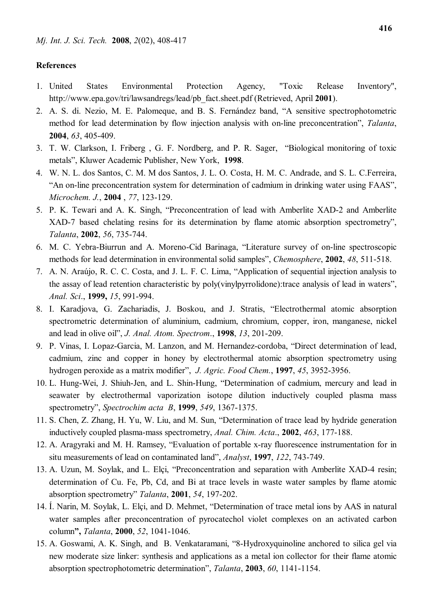#### **References**

- 1. United States Environmental Protection Agency, "Toxic Release Inventory", http://www.epa.gov/tri/lawsandregs/lead/pb\_fact.sheet.pdf (Retrieved, April **2001**).
- 2. A. S. di. Nezio, M. E. Palomeque, and B. S. Fernández band, "A sensitive spectrophotometric method for lead determination by flow injection analysis with on-line preconcentration", *Talanta*, **2004**, *63*, 405-409.
- 3. T. W. Clarkson, I. Friberg , G. F. Nordberg, and P. R. Sager, "Biological monitoring of toxic metals", Kluwer Academic Publisher, New York, **1998**.
- 4. W. N. L. dos Santos, C. M. M dos Santos, J. L. O. Costa, H. M. C. Andrade, and S. L. C.Ferreira, "An on-line preconcentration system for determination of cadmium in drinking water using FAAS", *Microchem. J.*, **2004** , *77*, 123-129.
- 5. P. K. Tewari and A. K. Singh, "Preconcentration of lead with Amberlite XAD-2 and Amberlite XAD-7 based chelating resins for its determination by flame atomic absorption spectrometry", *Talanta*, **2002**, *56*, 735-744.
- 6. M. C. Yebra-Biurrun and A. Moreno-Cid Barinaga, "Literature survey of on-line spectroscopic methods for lead determination in environmental solid samples", *Chemosphere*, **2002**, *48*, 511-518.
- 7. A. N. Araújo, R. C. C. Costa, and J. L. F. C. Lima, "Application of sequential injection analysis to the assay of lead retention characteristic by poly(vinylpyrrolidone):trace analysis of lead in waters", *Anal. Sci*., **1999,** *15*, 991-994.
- 8. I. Karadjova, G. Zachariadis, J. Boskou, and J. Stratis, "Electrothermal atomic absorption spectrometric determination of aluminium, cadmium, chromium, copper, iron, manganese, nickel and lead in olive oil", *J. Anal. Atom. Spectrom*., **1998**, *13*, 201-209.
- 9. P. Vinas, I. Lopaz-Garcia, M. Lanzon, and M. Hernandez-cordoba, "Direct determination of lead, cadmium, zinc and copper in honey by electrothermal atomic absorption spectrometry using hydrogen peroxide as a matrix modifier", *J. Agric. Food Chem.*, **1997**, *45*, 3952-3956.
- 10. L. Hung-Wei, J. Shiuh-Jen, and L. Shin-Hung, "Determination of cadmium, mercury and lead in seawater by electrothermal vaporization isotope dilution inductively coupled plasma mass spectrometry", *Spectrochim acta B*, **1999**, *549*, 1367-1375.
- 11. S. Chen, Z. Zhang, H. Yu, W. Liu, and M. Sun, "Determination of trace lead by hydride generation inductively coupled plasma-mass spectrometry, *Anal. Chim. Acta*., **2002**, *463*, 177-188.
- 12. A. Aragyraki and M. H. Ramsey, "Evaluation of portable x-ray fluorescence instrumentation for in situ measurements of lead on contaminated land", *Analyst*, **1997**, *122*, 743-749.
- 13. A. Uzun, M. Soylak, and L. Elçi, "Preconcentration and separation with Amberlite XAD-4 resin; determination of Cu. Fe, Pb, Cd, and Bi at trace levels in waste water samples by flame atomic absorption spectrometry" *Talanta*, **2001**, *54*, 197-202.
- 14. Í. Narin, M. Soylak, L. Elçi, and D. Mehmet, "Determination of trace metal ions by AAS in natural water samples after preconcentration of pyrocatechol violet complexes on an activated carbon column**",** *Talanta*, **2000**, *52*, 1041-1046.
- 15. A. Goswami, A. K. Singh, and B. Venkataramani, "8-Hydroxyquinoline anchored to silica gel via new moderate size linker: synthesis and applications as a metal ion collector for their flame atomic absorption spectrophotometric determination", *Talanta*, **2003**, *60*, 1141-1154.